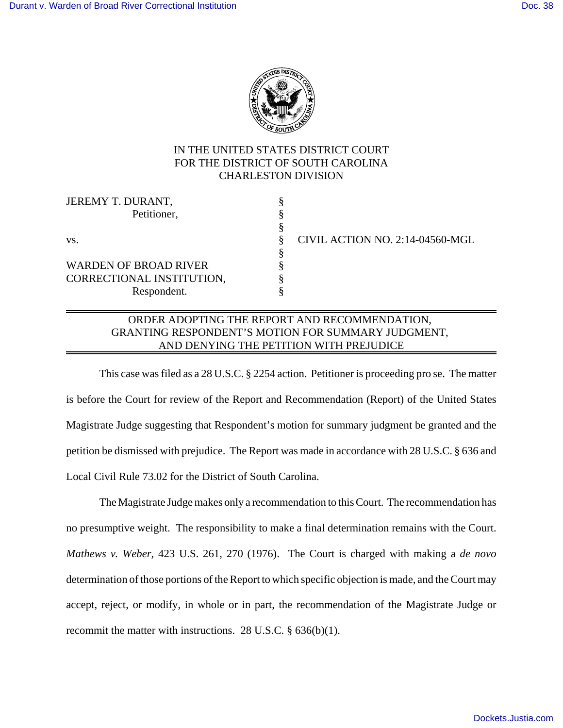

## IN THE UNITED STATES DISTRICT COURT FOR THE DISTRICT OF SOUTH CAROLINA CHARLESTON DIVISION

| CIVIL ACTION NO. 2:14-04560-MGL |
|---------------------------------|
|                                 |
|                                 |
|                                 |
|                                 |
|                                 |

## ORDER ADOPTING THE REPORT AND RECOMMENDATION, GRANTING RESPONDENT'S MOTION FOR SUMMARY JUDGMENT, AND DENYING THE PETITION WITH PREJUDICE

This case was filed as a 28 U.S.C. § 2254 action. Petitioner is proceeding pro se. The matter is before the Court for review of the Report and Recommendation (Report) of the United States Magistrate Judge suggesting that Respondent's motion for summary judgment be granted and the petition be dismissed with prejudice. The Report was made in accordance with 28 U.S.C. § 636 and Local Civil Rule 73.02 for the District of South Carolina.

The Magistrate Judge makes only a recommendation to this Court. The recommendation has no presumptive weight. The responsibility to make a final determination remains with the Court. *Mathews v. Weber*, 423 U.S. 261, 270 (1976). The Court is charged with making a *de novo* determination of those portions of the Report to which specific objection is made, and the Court may accept, reject, or modify, in whole or in part, the recommendation of the Magistrate Judge or recommit the matter with instructions. 28 U.S.C. § 636(b)(1).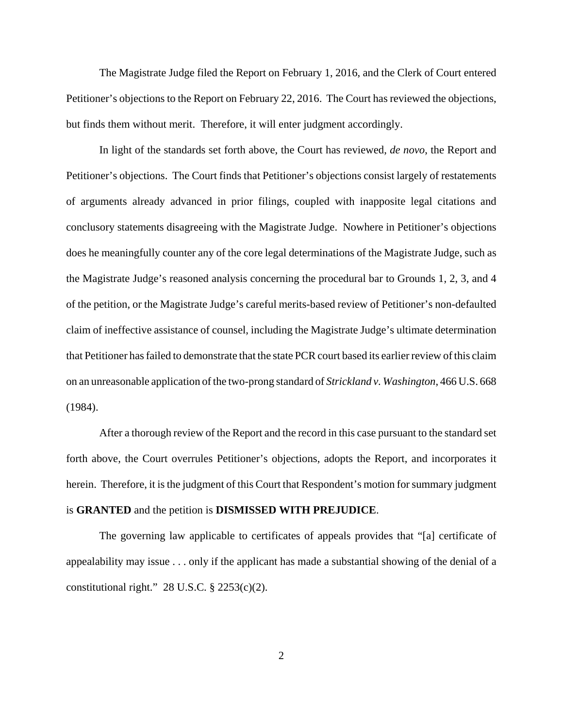The Magistrate Judge filed the Report on February 1, 2016, and the Clerk of Court entered Petitioner's objections to the Report on February 22, 2016. The Court has reviewed the objections, but finds them without merit. Therefore, it will enter judgment accordingly.

In light of the standards set forth above, the Court has reviewed, *de novo*, the Report and Petitioner's objections. The Court finds that Petitioner's objections consist largely of restatements of arguments already advanced in prior filings, coupled with inapposite legal citations and conclusory statements disagreeing with the Magistrate Judge. Nowhere in Petitioner's objections does he meaningfully counter any of the core legal determinations of the Magistrate Judge, such as the Magistrate Judge's reasoned analysis concerning the procedural bar to Grounds 1, 2, 3, and 4 of the petition, or the Magistrate Judge's careful merits-based review of Petitioner's non-defaulted claim of ineffective assistance of counsel, including the Magistrate Judge's ultimate determination that Petitioner has failed to demonstrate that the state PCR court based its earlier review of this claim on an unreasonable application of the two-prong standard of *Strickland v. Washington*, 466 U.S. 668 (1984).

After a thorough review of the Report and the record in this case pursuant to the standard set forth above, the Court overrules Petitioner's objections, adopts the Report, and incorporates it herein. Therefore, it is the judgment of this Court that Respondent's motion for summary judgment is **GRANTED** and the petition is **DISMISSED WITH PREJUDICE**.

The governing law applicable to certificates of appeals provides that "[a] certificate of appealability may issue . . . only if the applicant has made a substantial showing of the denial of a constitutional right."  $28$  U.S.C.  $\S$   $2253(c)(2)$ .